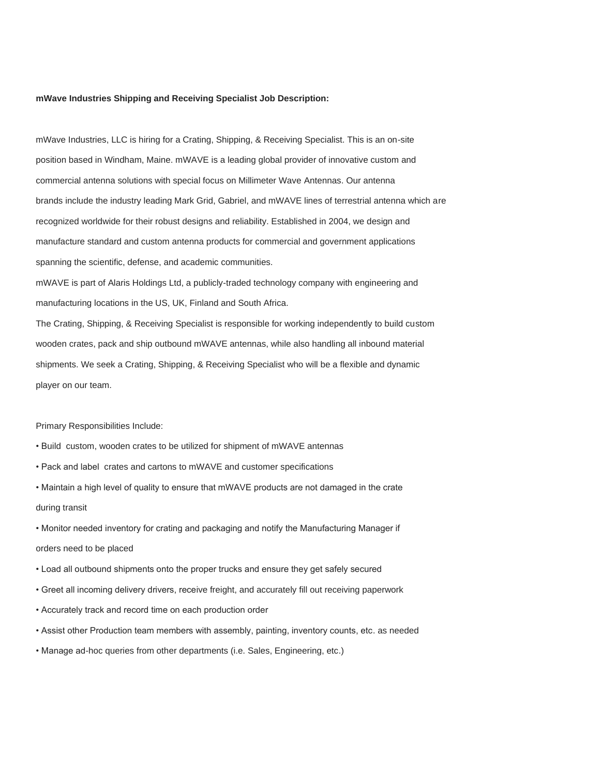### **mWave Industries Shipping and Receiving Specialist Job Description:**

mWave Industries, LLC is hiring for a Crating, Shipping, & Receiving Specialist. This is an on-site position based in Windham, Maine. mWAVE is a leading global provider of innovative custom and commercial antenna solutions with special focus on Millimeter Wave Antennas. Our antenna brands include the industry leading Mark Grid, Gabriel, and mWAVE lines of terrestrial antenna which are recognized worldwide for their robust designs and reliability. Established in 2004, we design and manufacture standard and custom antenna products for commercial and government applications spanning the scientific, defense, and academic communities.

mWAVE is part of Alaris Holdings Ltd, a publicly-traded technology company with engineering and manufacturing locations in the US, UK, Finland and South Africa.

The Crating, Shipping, & Receiving Specialist is responsible for working independently to build custom wooden crates, pack and ship outbound mWAVE antennas, while also handling all inbound material shipments. We seek a Crating, Shipping, & Receiving Specialist who will be a flexible and dynamic player on our team.

### Primary Responsibilities Include:

- Build custom, wooden crates to be utilized for shipment of mWAVE antennas
- Pack and label crates and cartons to mWAVE and customer specifications
- Maintain a high level of quality to ensure that mWAVE products are not damaged in the crate during transit
- Monitor needed inventory for crating and packaging and notify the Manufacturing Manager if

# orders need to be placed

- Load all outbound shipments onto the proper trucks and ensure they get safely secured
- Greet all incoming delivery drivers, receive freight, and accurately fill out receiving paperwork
- Accurately track and record time on each production order
- Assist other Production team members with assembly, painting, inventory counts, etc. as needed
- Manage ad-hoc queries from other departments (i.e. Sales, Engineering, etc.)